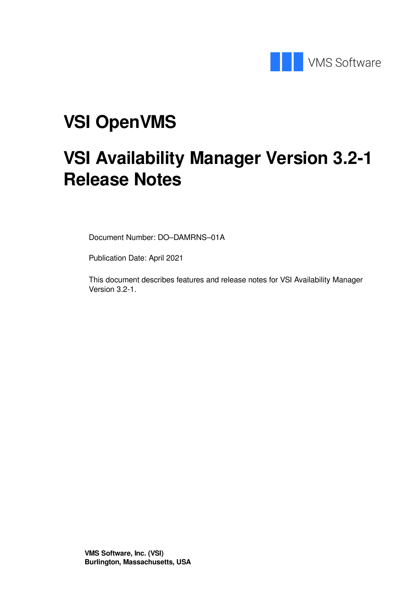

# **VSI OpenVMS**

# **VSI Availability Manager Version 3.2-1 Release Notes**

Document Number: DO–DAMRNS–01A

Publication Date: April 2021

This document describes features and release notes for VSI Availability Manager Version 3.2-1.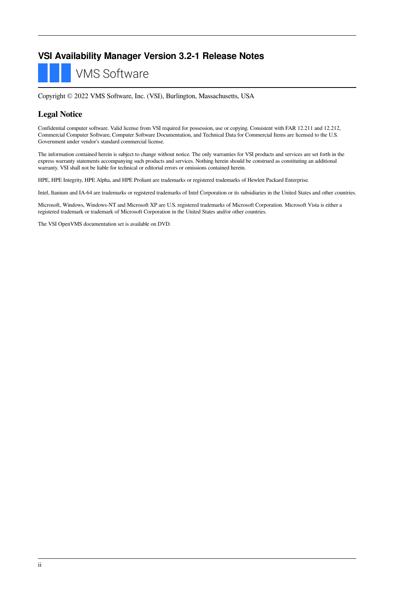#### **VSI Availability Manager Version 3.2-1 Release Notes**

**VMS Software** 

Copyright © 2022 VMS Software, Inc. (VSI), Burlington, Massachusetts, USA

#### **Legal Notice**

Confidential computer software. Valid license from VSI required for possession, use or copying. Consistent with FAR 12.211 and 12.212, Commercial Computer Software, Computer Software Documentation, and Technical Data for Commercial Items are licensed to the U.S. Government under vendor's standard commercial license.

The information contained herein is subject to change without notice. The only warranties for VSI products and services are set forth in the express warranty statements accompanying such products and services. Nothing herein should be construed as constituting an additional warranty. VSI shall not be liable for technical or editorial errors or omissions contained herein.

HPE, HPE Integrity, HPE Alpha, and HPE Proliant are trademarks or registered trademarks of Hewlett Packard Enterprise.

Intel, Itanium and IA-64 are trademarks or registered trademarks of Intel Corporation or its subsidiaries in the United States and other countries.

Microsoft, Windows, Windows-NT and Microsoft XP are U.S. registered trademarks of Microsoft Corporation. Microsoft Vista is either a registered trademark or trademark of Microsoft Corporation in the United States and/or other countries.

The VSI OpenVMS documentation set is available on DVD.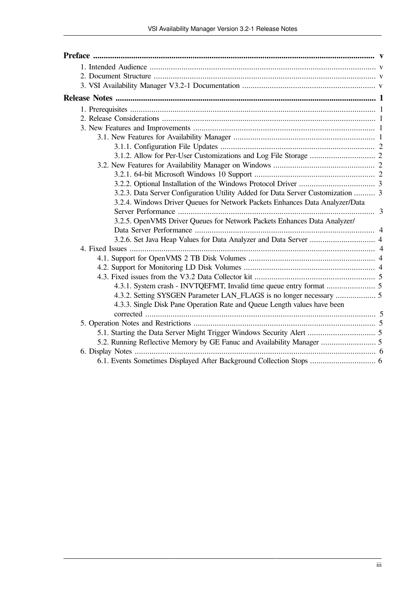| 3.2.3. Data Server Configuration Utility Added for Data Server Customization  3 |  |
|---------------------------------------------------------------------------------|--|
| 3.2.4. Windows Driver Queues for Network Packets Enhances Data Analyzer/Data    |  |
|                                                                                 |  |
| 3.2.5. OpenVMS Driver Queues for Network Packets Enhances Data Analyzer/        |  |
|                                                                                 |  |
|                                                                                 |  |
|                                                                                 |  |
|                                                                                 |  |
|                                                                                 |  |
|                                                                                 |  |
|                                                                                 |  |
|                                                                                 |  |
| 4.3.3. Single Disk Pane Operation Rate and Queue Length values have been        |  |
|                                                                                 |  |
|                                                                                 |  |
|                                                                                 |  |
|                                                                                 |  |
|                                                                                 |  |
| 6.1. Events Sometimes Displayed After Background Collection Stops  6            |  |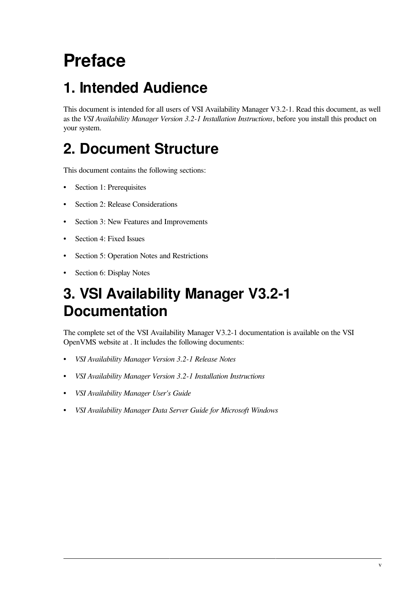# <span id="page-4-0"></span>**Preface**

# <span id="page-4-1"></span>**1. Intended Audience**

This document is intended for all users of VSI Availability Manager V3.2-1. Read this document, as well as the *VSI Availability Manager Version 3.2-1 Installation Instructions*, before you install this product on your system.

# <span id="page-4-2"></span>**2. Document Structure**

This document contains the following sections:

- Section 1: [Prerequisites](#page-6-1)
- Section 2: Release [Considerations](#page-6-2)
- Section 3: New Features and [Improvements](#page-6-3)
- [Section](#page-9-2) 4: Fixed Issues
- Section 5: Operation Notes and [Restrictions](#page-10-4)
- Section 6: [Display](#page-11-0) Notes

## <span id="page-4-3"></span>**3. VSI Availability Manager V3.2-1 Documentation**

The complete set of the VSI Availability Manager V3.2-1 documentation is available on the VSI OpenVMS website at . It includes the following documents:

- *VSI Availability Manager Version 3.2-1 Release Notes*
- *VSI Availability Manager Version 3.2-1 Installation Instructions*
- *VSI Availability Manager User's Guide*
- *VSI Availability Manager Data Server Guide for Microsoft Windows*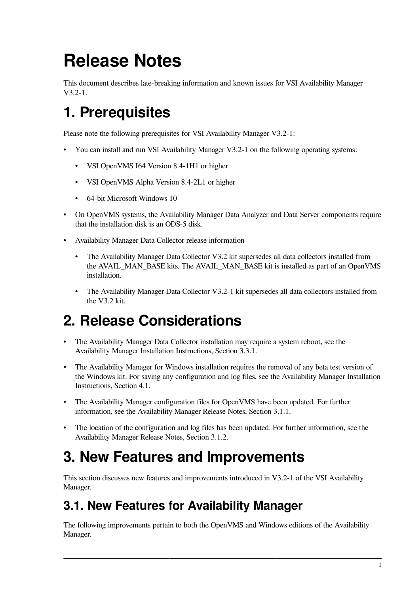# <span id="page-6-0"></span>**Release Notes**

This document describes late-breaking information and known issues for VSI Availability Manager V3.2-1.

# <span id="page-6-1"></span>**1. Prerequisites**

Please note the following prerequisites for VSI Availability Manager V3.2-1:

- You can install and run VSI Availability Manager V3.2-1 on the following operating systems:
	- VSI OpenVMS I64 Version 8.4-1H1 or higher
	- VSI OpenVMS Alpha Version 8.4-2L1 or higher
	- 64-bit Microsoft Windows 10
- On OpenVMS systems, the Availability Manager Data Analyzer and Data Server components require that the installation disk is an ODS-5 disk.
- Availability Manager Data Collector release information
	- The Availability Manager Data Collector V3.2 kit supersedes all data collectors installed from the AVAIL\_MAN\_BASE kits. The AVAIL\_MAN\_BASE kit is installed as part of an OpenVMS installation.
	- The Availability Manager Data Collector V3.2-1 kit supersedes all data collectors installed from the V3.2 kit.

## <span id="page-6-2"></span>**2. Release Considerations**

- The Availability Manager Data Collector installation may require a system reboot, see the Availability Manager Installation Instructions, Section 3.3.1.
- The Availability Manager for Windows installation requires the removal of any beta test version of the Windows kit. For saving any configuration and log files, see the Availability Manager Installation Instructions, Section 4.1.
- The Availability Manager configuration files for OpenVMS have been updated. For further information, see the Availability Manager Release Notes, [Section](#page-7-0) 3.1.1.
- The location of the configuration and log files has been updated. For further information, see the Availability Manager Release Notes, [Section](#page-7-1) 3.1.2.

## <span id="page-6-3"></span>**3. New Features and Improvements**

This section discusses new features and improvements introduced in V3.2-1 of the VSI Availability Manager.

### <span id="page-6-4"></span>**3.1. New Features for Availability Manager**

The following improvements pertain to both the OpenVMS and Windows editions of the Availability Manager.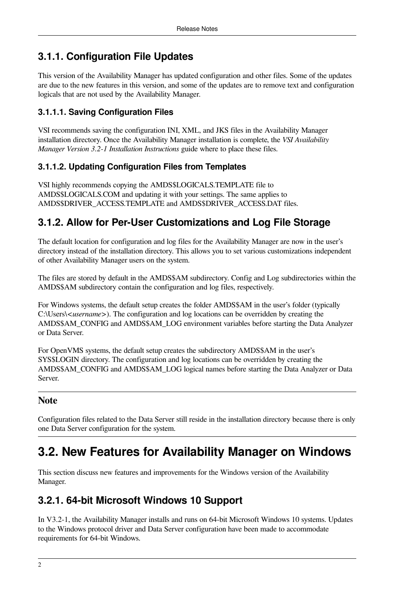#### <span id="page-7-0"></span>**3.1.1. Configuration File Updates**

This version of the Availability Manager has updated configuration and other files. Some of the updates are due to the new features in this version, and some of the updates are to remove text and configuration logicals that are not used by the Availability Manager.

#### **3.1.1.1. Saving Configuration Files**

VSI recommends saving the configuration INI, XML, and JKS files in the Availability Manager installation directory. Once the Availability Manager installation is complete, the *VSI Availability Manager Version 3.2-1 Installation Instructions* guide where to place these files.

#### **3.1.1.2. Updating Configuration Files from Templates**

VSI highly recommends copying the AMDS\$LOGICALS.TEMPLATE file to AMDS\$LOGICALS.COM and updating it with your settings. The same applies to AMDS\$DRIVER\_ACCESS.TEMPLATE and AMDS\$DRIVER\_ACCESS.DAT files.

#### <span id="page-7-1"></span>**3.1.2. Allow for Per-User Customizations and Log File Storage**

The default location for configuration and log files for the Availability Manager are now in the user's directory instead of the installation directory. This allows you to set various customizations independent of other Availability Manager users on the system.

The files are stored by default in the AMDS\$AM subdirectory. Config and Log subdirectories within the AMDS\$AM subdirectory contain the configuration and log files, respectively.

For Windows systems, the default setup creates the folder AMDS\$AM in the user's folder (typically C:\Users\*<username>*). The configuration and log locations can be overridden by creating the AMDS\$AM\_CONFIG and AMDS\$AM\_LOG environment variables before starting the Data Analyzer or Data Server.

For OpenVMS systems, the default setup creates the subdirectory AMDS\$AM in the user's SYS\$LOGIN directory. The configuration and log locations can be overridden by creating the AMDS\$AM\_CONFIG and AMDS\$AM\_LOG logical names before starting the Data Analyzer or Data Server.

#### **Note**

Configuration files related to the Data Server still reside in the installation directory because there is only one Data Server configuration for the system.

### <span id="page-7-2"></span>**3.2. New Features for Availability Manager on Windows**

This section discuss new features and improvements for the Windows version of the Availability Manager.

#### <span id="page-7-3"></span>**3.2.1. 64-bit Microsoft Windows 10 Support**

In V3.2-1, the Availability Manager installs and runs on 64-bit Microsoft Windows 10 systems. Updates to the Windows protocol driver and Data Server configuration have been made to accommodate requirements for 64-bit Windows.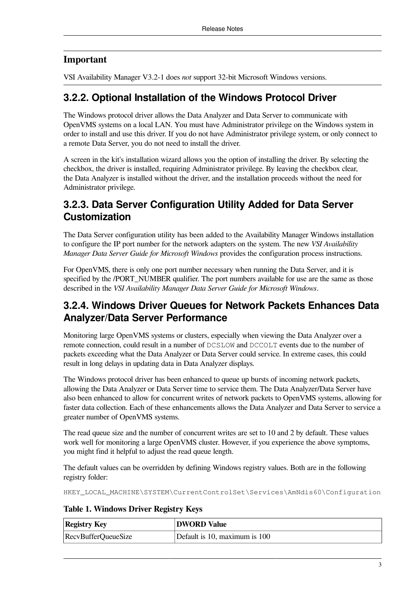#### **Important**

VSI Availability Manager V3.2-1 does *not* support 32-bit Microsoft Windows versions.

#### <span id="page-8-0"></span>**3.2.2. Optional Installation of the Windows Protocol Driver**

The Windows protocol driver allows the Data Analyzer and Data Server to communicate with OpenVMS systems on a local LAN. You must have Administrator privilege on the Windows system in order to install and use this driver. If you do not have Administrator privilege system, or only connect to a remote Data Server, you do not need to install the driver.

A screen in the kit's installation wizard allows you the option of installing the driver. By selecting the checkbox, the driver is installed, requiring Administrator privilege. By leaving the checkbox clear, the Data Analyzer is installed without the driver, and the installation proceeds without the need for Administrator privilege.

#### <span id="page-8-1"></span>**3.2.3. Data Server Configuration Utility Added for Data Server Customization**

The Data Server configuration utility has been added to the Availability Manager Windows installation to configure the IP port number for the network adapters on the system. The new *VSI Availability Manager Data Server Guide for Microsoft Windows* provides the configuration process instructions.

For OpenVMS, there is only one port number necessary when running the Data Server, and it is specified by the /PORT\_NUMBER qualifier. The port numbers available for use are the same as those described in the *VSI Availability Manager Data Server Guide for Microsoft Windows*.

#### <span id="page-8-2"></span>**3.2.4. Windows Driver Queues for Network Packets Enhances Data Analyzer/Data Server Performance**

Monitoring large OpenVMS systems or clusters, especially when viewing the Data Analyzer over a remote connection, could result in a number of DCSLOW and DCCOLT events due to the number of packets exceeding what the Data Analyzer or Data Server could service. In extreme cases, this could result in long delays in updating data in Data Analyzer displays.

The Windows protocol driver has been enhanced to queue up bursts of incoming network packets, allowing the Data Analyzer or Data Server time to service them. The Data Analyzer/Data Server have also been enhanced to allow for concurrent writes of network packets to OpenVMS systems, allowing for faster data collection. Each of these enhancements allows the Data Analyzer and Data Server to service a greater number of OpenVMS systems.

The read queue size and the number of concurrent writes are set to 10 and 2 by default. These values work well for monitoring a large OpenVMS cluster. However, if you experience the above symptoms, you might find it helpful to adjust the read queue length.

The default values can be overridden by defining Windows registry values. Both are in the following registry folder:

HKEY\_LOCAL\_MACHINE\SYSTEM\CurrentControlSet\Services\AmNdis60\Configuration

**Table 1. Windows Driver Registry Keys**

| <b>Registry Key</b> | <b>DWORD</b> Value            |
|---------------------|-------------------------------|
| RecvBufferQueueSize | Default is 10, maximum is 100 |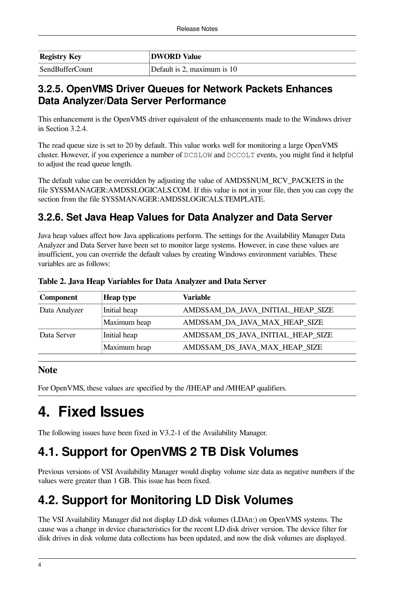| <b>Registry Key</b> | <b>DWORD Value</b>          |
|---------------------|-----------------------------|
| SendBufferCount     | Default is 2, maximum is 10 |

#### <span id="page-9-0"></span>**3.2.5. OpenVMS Driver Queues for Network Packets Enhances Data Analyzer/Data Server Performance**

This enhancement is the OpenVMS driver equivalent of the enhancements made to the Windows driver in [Section](#page-8-2) 3.2.4.

The read queue size is set to 20 by default. This value works well for monitoring a large OpenVMS cluster. However, if you experience a number of DCSLOW and DCCOLT events, you might find it helpful to adjust the read queue length.

The default value can be overridden by adjusting the value of AMDS\$NUM\_RCV\_PACKETS in the file SYS\$MANAGER:AMDS\$LOGICALS.COM. If this value is not in your file, then you can copy the section from the file SYS\$MANAGER:AMDS\$LOGICALS.TEMPLATE.

#### <span id="page-9-1"></span>**3.2.6. Set Java Heap Values for Data Analyzer and Data Server**

Java heap values affect how Java applications perform. The settings for the Availability Manager Data Analyzer and Data Server have been set to monitor large systems. However, in case these values are insufficient, you can override the default values by creating Windows environment variables. These variables are as follows:

| <b>Component</b> | <b>Heap type</b> | <b>Variable</b>                    |
|------------------|------------------|------------------------------------|
| Data Analyzer    | Initial heap     | AMDS\$AM_DA_JAVA_INITIAL_HEAP_SIZE |
|                  | Maximum heap     | AMDS\$AM_DA_JAVA_MAX_HEAP_SIZE     |
| Data Server      | Initial heap     | AMDS\$AM_DS_JAVA_INITIAL_HEAP_SIZE |
|                  | Maximum heap     | AMDS\$AM_DS_JAVA_MAX_HEAP_SIZE     |

**Table 2. Java Heap Variables for Data Analyzer and Data Server**

#### **Note**

For OpenVMS, these values are specified by the /IHEAP and /MHEAP qualifiers.

## <span id="page-9-2"></span>**4. Fixed Issues**

The following issues have been fixed in V3.2-1 of the Availability Manager.

### <span id="page-9-3"></span>**4.1. Support for OpenVMS 2 TB Disk Volumes**

Previous versions of VSI Availability Manager would display volume size data as negative numbers if the values were greater than 1 GB. This issue has been fixed.

### <span id="page-9-4"></span>**4.2. Support for Monitoring LD Disk Volumes**

The VSI Availability Manager did not display LD disk volumes (LDAn:) on OpenVMS systems. The cause was a change in device characteristics for the recent LD disk driver version. The device filter for disk drives in disk volume data collections has been updated, and now the disk volumes are displayed.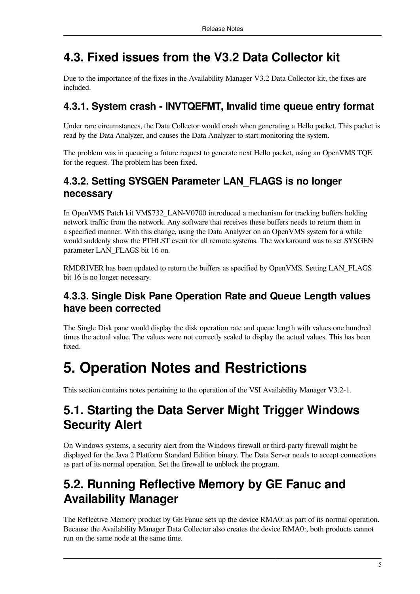### <span id="page-10-0"></span>**4.3. Fixed issues from the V3.2 Data Collector kit**

Due to the importance of the fixes in the Availability Manager V3.2 Data Collector kit, the fixes are included.

#### <span id="page-10-1"></span>**4.3.1. System crash - INVTQEFMT, Invalid time queue entry format**

Under rare circumstances, the Data Collector would crash when generating a Hello packet. This packet is read by the Data Analyzer, and causes the Data Analyzer to start monitoring the system.

The problem was in queueing a future request to generate next Hello packet, using an OpenVMS TQE for the request. The problem has been fixed.

#### <span id="page-10-2"></span>**4.3.2. Setting SYSGEN Parameter LAN\_FLAGS is no longer necessary**

In OpenVMS Patch kit VMS732\_LAN-V0700 introduced a mechanism for tracking buffers holding network traffic from the network. Any software that receives these buffers needs to return them in a specified manner. With this change, using the Data Analyzer on an OpenVMS system for a while would suddenly show the PTHLST event for all remote systems. The workaround was to set SYSGEN parameter LAN\_FLAGS bit 16 on.

RMDRIVER has been updated to return the buffers as specified by OpenVMS. Setting LAN\_FLAGS bit 16 is no longer necessary.

#### <span id="page-10-3"></span>**4.3.3. Single Disk Pane Operation Rate and Queue Length values have been corrected**

The Single Disk pane would display the disk operation rate and queue length with values one hundred times the actual value. The values were not correctly scaled to display the actual values. This has been fixed.

## <span id="page-10-4"></span>**5. Operation Notes and Restrictions**

This section contains notes pertaining to the operation of the VSI Availability Manager V3.2-1.

### <span id="page-10-5"></span>**5.1. Starting the Data Server Might Trigger Windows Security Alert**

On Windows systems, a security alert from the Windows firewall or third-party firewall might be displayed for the Java 2 Platform Standard Edition binary. The Data Server needs to accept connections as part of its normal operation. Set the firewall to unblock the program.

### <span id="page-10-6"></span>**5.2. Running Reflective Memory by GE Fanuc and Availability Manager**

The Reflective Memory product by GE Fanuc sets up the device RMA0: as part of its normal operation. Because the Availability Manager Data Collector also creates the device RMA0:, both products cannot run on the same node at the same time.